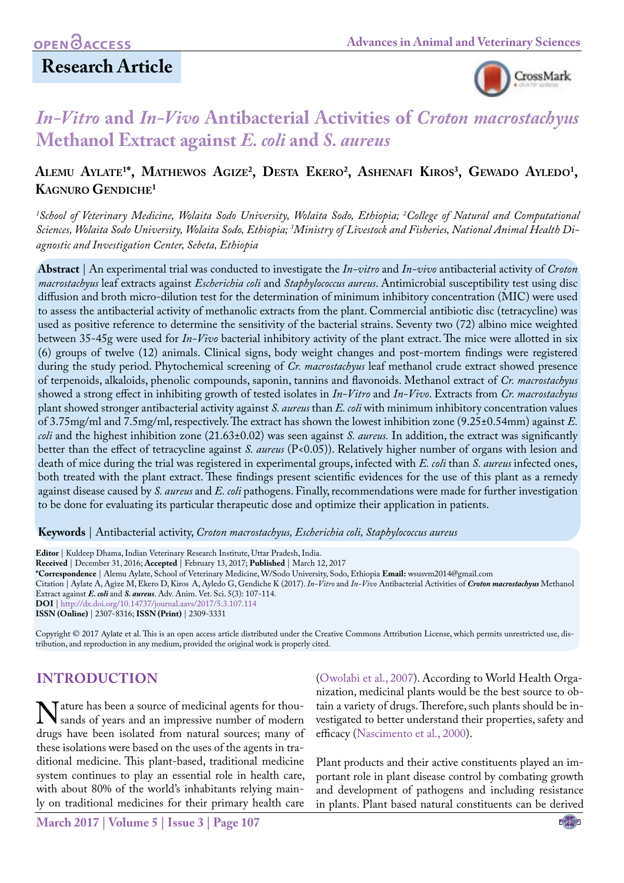## **Research Article**



# *In-Vitro* **and** *In-Vivo* **Antibacterial Activities of** *Croton macrostachyus*  **Methanol Extract against** *E. coli* **and** *S. aureus*

## $\mathbf{A}\text{LEMU}$   $\text{AYLATE}^{\text{1*}}, \text{ MATHEWOS}$   $\text{AGIZE}^{\text{2}}, \text{DESTA}$   $\text{EKERO}^{\text{2}}, \text{ASHENAFI}$   $\text{KIROS}^{\text{3}}, \text{GEWADO}$   $\text{AYLEDO}^{\text{1}}, \text{MATE}^{\text{3}}$ **Kagnuro Gendiche1**

*1 School of Veterinary Medicine, Wolaita Sodo University, Wolaita Sodo, Ethiopia; 2 College of Natural and Computational Sciences, Wolaita Sodo University, Wolaita Sodo, Ethiopia; 3 Ministry of Livestock and Fisheries, National Animal Health Diagnostic and Investigation Center, Sebeta, Ethiopia*

**Abstract** | An experimental trial was conducted to investigate the *In-vitro* and *In-vivo* antibacterial activity of *Croton macrostachyus* leaf extracts against *Escherichia coli* and *Staphylococcus aureus*. Antimicrobial susceptibility test using disc diffusion and broth micro-dilution test for the determination of minimum inhibitory concentration (MIC) were used to assess the antibacterial activity of methanolic extracts from the plant. Commercial antibiotic disc (tetracycline) was used as positive reference to determine the sensitivity of the bacterial strains. Seventy two (72) albino mice weighted between 35-45g were used for *In-Vivo* bacterial inhibitory activity of the plant extract. The mice were allotted in six (6) groups of twelve (12) animals. Clinical signs, body weight changes and post-mortem findings were registered during the study period. Phytochemical screening of *Cr. macrostachyus* leaf methanol crude extract showed presence of terpenoids, alkaloids, phenolic compounds, saponin, tannins and flavonoids. Methanol extract of *Cr. macrostachyus* showed a strong effect in inhibiting growth of tested isolates in *In-Vitro* and *In-Vivo*. Extracts from *Cr. macrostachyus* plant showed stronger antibacterial activity against *S. aureus* than *E. coli* with minimum inhibitory concentration values of 3.75mg/ml and 7.5mg/ml, respectively. The extract has shown the lowest inhibition zone (9.25±0.54mm) against *E. coli* and the highest inhibition zone (21.63±0.02) was seen against *S. aureus.* In addition, the extract was significantly better than the effect of tetracycline against *S. aureus* (P<0.05)). Relatively higher number of organs with lesion and death of mice during the trial was registered in experimental groups, infected with *E. coli* than *S. aureus* infected ones, both treated with the plant extract. These findings present scientific evidences for the use of this plant as a remedy against disease caused by *S. aureus* and *E. coli* pathogens. Finally, recommendations were made for further investigation to be done for evaluating its particular therapeutic dose and optimize their application in patients.

**Keywords** | Antibacterial activity, *Croton macrostachyus, Escherichia coli, Staphylococcus aureus*

**Editor** | Kuldeep Dhama, Indian Veterinary Research Institute, Uttar Pradesh, India. **Received** | December 31, 2016; **Accepted** | February 13, 2017; **Published** | March 12, 2017 **\*Correspondence** | Alemu Aylate, School of Veterinary Medicine, W/Sodo University, Sodo, Ethiopia **Email:** [wsusvm2014@gmail.com](mailto:wsusvm2014@gmail.com) Citation | Aylate A, Agize M, Ekero D, Kiros A, Ayledo G, Gendiche K (2017). *In-Vitro* and *In-Vivo* Antibacterial Activities of *Croton macrostachyus* Methanol Extract against *E. coli* and *S. aureus*. Adv. Anim. Vet. Sci. 5(3): 107-114. **DOI** | <http://dx.doi.org/10.14737/journal.aavs/2017/5.3.107.114> **ISSN (Online)** | 2307-8316; **ISSN (Print)** | 2309-3331

Copyright © 2017 Aylate et al. This is an open access article distributed under the Creative Commons Attribution License, which permits unrestricted use, distribution, and reproduction in any medium, provided the original work is properly cited.

## **INTRODUCTION**

**N** ature has been a source of medicinal agents for thou-<br>sands of years and an impressive number of modern<br>drugs have been isolated from natural sources: many of drugs have been isolated from natural sources; many of these isolations were based on the uses of the agents in traditional medicine. This plant-based, traditional medicine system continues to play an essential role in health care, with about 80% of the world's inhabitants relying mainly on traditional medicines for their primary health care

[\(Owolabi et al., 2007](#page-6-0)). According to World Health Organization, medicinal plants would be the best source to obtain a variety of drugs. Therefore, such plants should be investigated to better understand their properties, safety and efficacy [\(Nascimento et al., 2000](#page-6-1)).

Plant products and their active constituents played an important role in plant disease control by combating growth and development of pathogens and including resistance in plants. Plant based natural constituents can be derived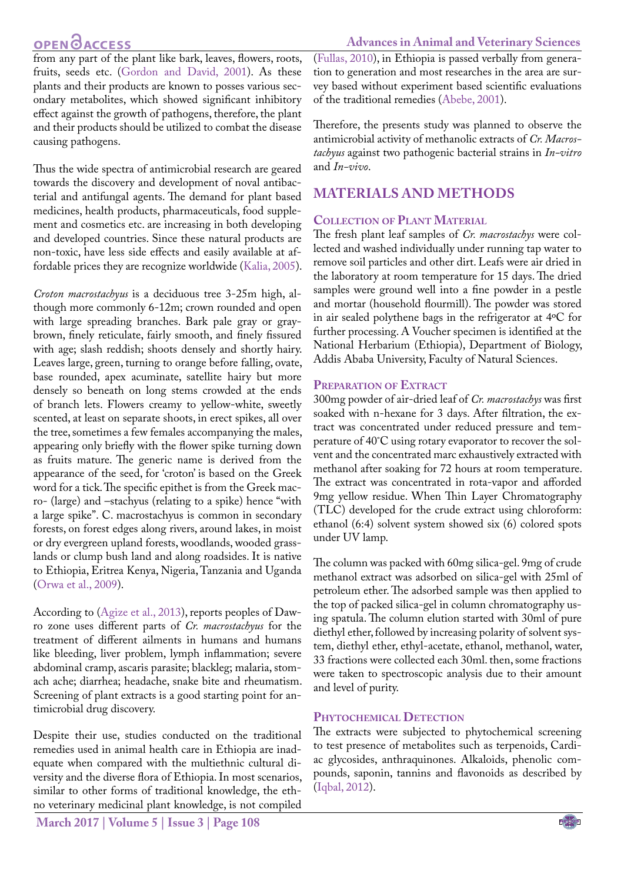## **OPEN**OACCESS

from any part of the plant like bark, leaves, flowers, roots, fruits, seeds etc. ([Gordon and David, 2001\)](#page-6-2). As these plants and their products are known to posses various secondary metabolites, which showed significant inhibitory effect against the growth of pathogens, therefore, the plant and their products should be utilized to combat the disease causing pathogens.

Thus the wide spectra of antimicrobial research are geared towards the discovery and development of noval antibacterial and antifungal agents. The demand for plant based medicines, health products, pharmaceuticals, food supplement and cosmetics etc. are increasing in both developing and developed countries. Since these natural products are non-toxic, have less side effects and easily available at affordable prices they are recognize worldwide [\(Kalia, 2005](#page-6-3)).

*Croton macrostachyus* is a deciduous tree 3-25m high, although more commonly 6-12m; crown rounded and open with large spreading branches. Bark pale gray or graybrown, finely reticulate, fairly smooth, and finely fissured with age; slash reddish; shoots densely and shortly hairy. Leaves large, green, turning to orange before falling, ovate, base rounded, apex acuminate, satellite hairy but more densely so beneath on long stems crowded at the ends of branch lets. Flowers creamy to yellow-white, sweetly scented, at least on separate shoots, in erect spikes, all over the tree, sometimes a few females accompanying the males, appearing only briefly with the flower spike turning down as fruits mature. The generic name is derived from the appearance of the seed, for 'croton' is based on the Greek word for a tick. The specific epithet is from the Greek macro- (large) and –stachyus (relating to a spike) hence "with a large spike". C. macrostachyus is common in secondary forests, on forest edges along rivers, around lakes, in moist or dry evergreen upland forests, woodlands, wooded grasslands or clump bush land and along roadsides. It is native to Ethiopia, Eritrea Kenya, Nigeria, Tanzania and Uganda [\(Orwa et al., 2009\)](#page-6-4).

According to ([Agize et al., 2013\)](#page-6-5), reports peoples of Dawro zone uses different parts of *Cr. macrostachyus* for the treatment of different ailments in humans and humans like bleeding, liver problem, lymph inflammation; severe abdominal cramp, ascaris parasite; blackleg; malaria, stomach ache; diarrhea; headache, snake bite and rheumatism. Screening of plant extracts is a good starting point for antimicrobial drug discovery.

Despite their use, studies conducted on the traditional remedies used in animal health care in Ethiopia are inadequate when compared with the multiethnic cultural diversity and the diverse flora of Ethiopia. In most scenarios, similar to other forms of traditional knowledge, the ethno veterinary medicinal plant knowledge, is not compiled

([Fullas, 2010\)](#page-6-6), in Ethiopia is passed verbally from generation to generation and most researches in the area are survey based without experiment based scientific evaluations of the traditional remedies ([Abebe, 2001](#page-6-7)).

Therefore, the presents study was planned to observe the antimicrobial activity of methanolic extracts of *Cr. Macrostachyus* against two pathogenic bacterial strains in *In-vitro* and *In-vivo*.

### **MATERIALS AND METHODS**

### **Collection of Plant Material**

The fresh plant leaf samples of *Cr. macrostachys* were collected and washed individually under running tap water to remove soil particles and other dirt. Leafs were air dried in the laboratory at room temperature for 15 days. The dried samples were ground well into a fine powder in a pestle and mortar (household flourmill). The powder was stored in air sealed polythene bags in the refrigerator at 4ºC for further processing. A Voucher specimen is identified at the National Herbarium (Ethiopia), Department of Biology, Addis Ababa University, Faculty of Natural Sciences.

### **Preparation of Extract**

300mg powder of air-dried leaf of *Cr. macrostachys* was first soaked with n-hexane for 3 days. After filtration, the extract was concentrated under reduced pressure and temperature of 40˚C using rotary evaporator to recover the solvent and the concentrated marc exhaustively extracted with methanol after soaking for 72 hours at room temperature. The extract was concentrated in rota-vapor and afforded 9mg yellow residue. When [Thin Layer Chromatography](https://www.google.com.et/url?sa=t&rct=j&q=&esrc=s&source=web&cd=2&cad=rja&uact=8&ved=0CCYQFjABahUKEwjql8qj7vvHAhWCc3IKHV0XAOs&url=http%3A%2F%2Forgchem.colorado.edu%2FTechnique%2FProcedures%2FTLC%2FTLC.html&usg=AFQjCNFpTxYT8MoN2NYm_H5_AH9br4KnsQ&sig2=ifbeT6F5OHwArxvHJSQyuw) (TLC) developed for the crude extract using chloroform: ethanol (6:4) solvent system showed six (6) colored spots under UV lamp.

The column was packed with 60mg silica-gel. 9mg of crude methanol extract was adsorbed on silica-gel with 25ml of petroleum ether. The adsorbed sample was then applied to the top of packed silica-gel in column chromatography using spatula. The column elution started with 30ml of pure diethyl ether, followed by increasing polarity of solvent system, diethyl ether, ethyl-acetate, ethanol, methanol, water, 33 fractions were collected each 30ml. then, some fractions were taken to spectroscopic analysis due to their amount and level of purity.

### PHYTOCHEMICAL DETECTION

The extracts were subjected to phytochemical screening to test presence of metabolites such as terpenoids, Cardiac glycosides, anthraquinones. Alkaloids, phenolic compounds, saponin, tannins and flavonoids as described by ([Iqbal, 2012](#page-6-8)).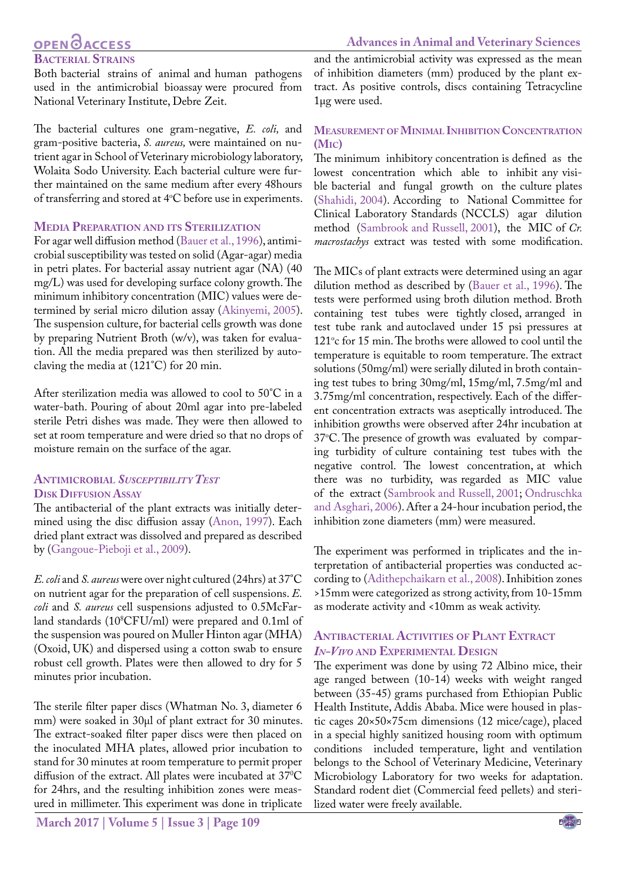# **OPEN GACCESS**

### **Bacterial Strains**

Both bacterial strains of animal and human pathogens used in the antimicrobial bioassay were procured from National Veterinary Institute, Debre Zeit.

The bacterial cultures one gram-negative, *E. coli,* and gram-positive bacteria, *S. aureus,* were maintained on nutrient agar in School of Veterinary microbiology laboratory, Wolaita Sodo University. Each bacterial culture were further maintained on the same medium after every 48hours of transferring and stored at 4°C before use in experiments.

#### **Media Preparation and its Sterilization**

For agar well diffusion method ([Bauer et al., 1996](#page-6-9)), antimicrobial susceptibility was tested on solid (Agar-agar) media in petri plates. For bacterial assay nutrient agar (NA) (40 mg/L) was used for developing surface colony growth. The minimum inhibitory concentration (MIC) values were determined by serial micro dilution assay ([Akinyemi, 2005\)](#page-6-10). The suspension culture, for bacterial cells growth was done by preparing Nutrient Broth (w/v), was taken for evaluation. All the media prepared was then sterilized by autoclaving the media at (121°C) for 20 min.

After sterilization media was allowed to cool to 50°C in a water-bath. Pouring of about 20ml agar into pre-labeled sterile Petri dishes was made. They were then allowed to set at room temperature and were dried so that no drops of moisture remain on the surface of the agar.

#### **Antimicrobial** *SusceptibilityTest* **Disk Diffusion Assay**

The antibacterial of the plant extracts was initially determined using the disc diffusion assay ([Anon, 1997](#page-6-11)). Each dried plant extract was dissolved and prepared as described by ([Gangoue-Pieboji et al., 2009\)](#page-6-12).

*E. coli* and *S. aureus* were over night cultured (24hrs) at 37°C on nutrient agar for the preparation of cell suspensions. *E. coli* and *S. aureus* cell suspensions adjusted to 0.5McFarland standards (108 CFU/ml) were prepared and 0.1ml of the suspension was poured on Muller Hinton agar (MHA) (Oxoid, UK) and dispersed using a cotton swab to ensure robust cell growth. Plates were then allowed to dry for 5 minutes prior incubation.

The sterile filter paper discs (Whatman No. 3, diameter 6 mm) were soaked in 30μl of plant extract for 30 minutes. The extract-soaked filter paper discs were then placed on the inoculated MHA plates, allowed prior incubation to stand for 30 minutes at room temperature to permit proper diffusion of the extract. All plates were incubated at  $37^{\circ}\text{C}$ for 24hrs, and the resulting inhibition zones were measured in millimeter. This experiment was done in triplicate

**March 2017 | Volume 5 | Issue 3 | Page 109**

and the antimicrobial activity was expressed as the mean of inhibition diameters (mm) produced by the plant extract. As positive controls, discs containing Tetracycline 1µg were used.

#### **Measurement ofMinimal Inhibition Concentration (Mic)**

The minimum inhibitory concentration is defined as the lowest concentration which able to inhibit any visible bacterial and fungal growth on the culture plates [\(Shahidi, 2004\)](#page-7-0). According to National Committee for Clinical Laboratory Standards (NCCLS) agar dilution method [\(Sambrook and Russell, 2001](#page-6-13)), the MIC of *Cr. macrostachys* extract was tested with some modification.

The MICs of plant extracts were determined using an agar dilution method as described by ([Bauer et al., 1996](#page-6-14)). The tests were performed using broth dilution method. Broth containing test tubes were tightly closed, arranged in test tube rank and autoclaved under 15 psi pressures at  $121^{\circ}$ c for 15 min. The broths were allowed to cool until the temperature is equitable to room temperature. The extract solutions (50mg/ml) were serially diluted in broth containing test tubes to bring 30mg/ml, 15mg/ml, 7.5mg/ml and 3.75mg/ml concentration, respectively. Each of the different concentration extracts was aseptically introduced. The inhibition growths were observed after 24hr incubation at 37°C. The presence of growth was evaluated by comparing turbidity of culture containing test tubes with the negative control. The lowest concentration, at which there was no turbidity, was regarded as MIC value of the extract ([Sambrook and Russell, 2001;](#page-6-13) [Ondruschka](#page-6-15)  [and Asghari, 2006\)](#page-6-15). After a 24-hour incubation period, the inhibition zone diameters (mm) were measured.

The experiment was performed in triplicates and the interpretation of antibacterial properties was conducted according to ([Adithepchaikarn et al., 2008](#page-6-5)). Inhibition zones >15mm were categorized as strong activity, from 10-15mm as moderate activity and <10mm as weak activity.

#### **Antibacterial Activities of Plant Extract** *In-Vivo* **and Experimental Design**

The experiment was done by using 72 Albino mice, their age ranged between (10-14) weeks with weight ranged between (35-45) grams purchased from [Ethiopian Public](https://www.google.com/url?sa=t&rct=j&q=&esrc=s&source=web&cd=4&cad=rja&uact=8&ved=0CDEQFjADahUKEwiXo4PF8qPHAhWCVBQKHRLsDgY&url=http%3A%2F%2Fwikimapia.org%2F224199%2FEthiopian-Public-Health-Institute-EPHI&ei=8mrLVZfiFoKpUZLYuzA&usg=AFQjCNHF-t1CrJMZmRTtBGDWALo6YWzk0g&sig2=WQsJR_kbHUYYQg8dOEZRNQ)  [Health Institute, Addis Ababa.](https://www.google.com/url?sa=t&rct=j&q=&esrc=s&source=web&cd=4&cad=rja&uact=8&ved=0CDEQFjADahUKEwiXo4PF8qPHAhWCVBQKHRLsDgY&url=http%3A%2F%2Fwikimapia.org%2F224199%2FEthiopian-Public-Health-Institute-EPHI&ei=8mrLVZfiFoKpUZLYuzA&usg=AFQjCNHF-t1CrJMZmRTtBGDWALo6YWzk0g&sig2=WQsJR_kbHUYYQg8dOEZRNQ) Mice were housed in plastic cages 20×50×75cm dimensions (12 mice/cage), placed in a special highly sanitized housing room with optimum conditions included temperature, light and ventilation belongs to the School of Veterinary Medicine, Veterinary Microbiology Laboratory for two weeks for adaptation. Standard rodent diet (Commercial feed pellets) and sterilized water were freely available.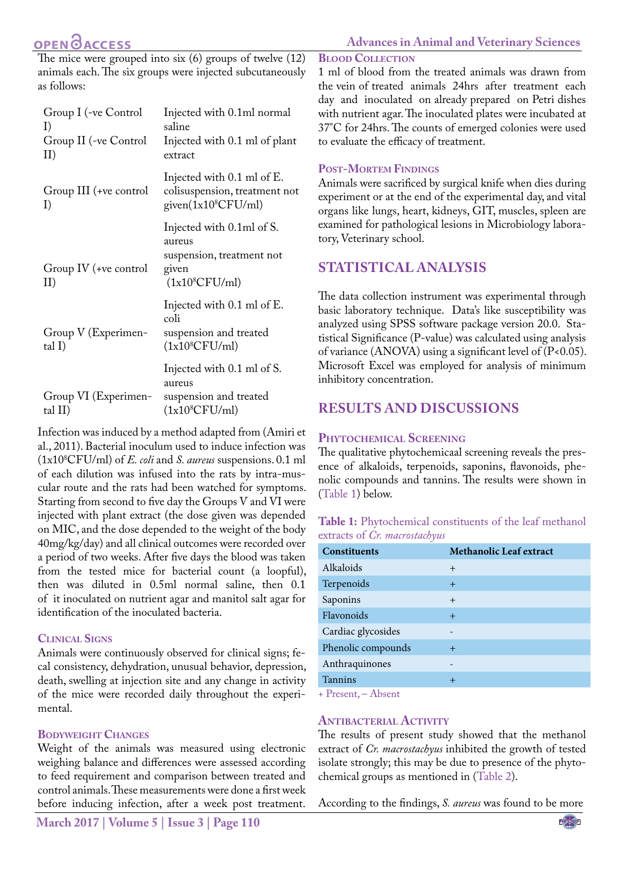# **OPEN**OACCESS

**Advances in Animal and Veterinary Sciences**

The mice were grouped into six (6) groups of twelve (12) animals each. The six groups were injected subcutaneously as follows:

| Group I (-ve Control<br>I)<br>Group II (-ve Control<br>II) | Injected with 0.1ml normal<br>saline<br>Injected with 0.1 ml of plant<br>extract                        |
|------------------------------------------------------------|---------------------------------------------------------------------------------------------------------|
| Group III (+ve control<br>I)                               | Injected with 0.1 ml of E.<br>colisuspension, treatment not<br>given(1x10 <sup>8</sup> CFU/ml)          |
| Group IV (+ve control<br>II)                               | Injected with 0.1ml of S.<br>aureus<br>suspension, treatment not<br>given<br>(1x10 <sup>8</sup> CFU/ml) |
| Group V (Experimen-<br>tal I)                              | Injected with 0.1 ml of E.<br>coli<br>suspension and treated<br>(1x10 <sup>8</sup> CFU/ml)              |
| Group VI (Experimen-<br>tal II)                            | Injected with 0.1 ml of S.<br>aureus<br>suspension and treated<br>(1x10 <sup>8</sup> CFU/ml)            |

Infection was induced by a method adapted from (Amiri et al., 2011). Bacterial inoculum used to induce infection was (1x108 CFU/ml) of *E. coli* and *S. aureus* suspensions. 0.1 ml of each dilution was infused into the rats by intra-muscular route and the rats had been watched for symptoms. Starting from second to five day the Groups V and VI were injected with plant extract (the dose given was depended on MIC, and the dose depended to the weight of the body 40mg/kg/day) and all clinical outcomes were recorded over a period of two weeks. After five days the blood was taken from the tested mice for bacterial count (a loopful), then was diluted in 0.5ml normal saline, then 0.1 of it inoculated on nutrient agar and manitol salt agar for identification of the inoculated bacteria.

### **Clinical Signs**

Animals were continuously observed for clinical signs; fecal consistency, dehydration, unusual behavior, depression, death, swelling at injection site and any change in activity of the mice were recorded daily throughout the experimental.

#### **Bodyweight Changes**

Weight of the animals was measured using [electronic](http://www.mt.com/int/en/home/perm-lp/product-organizations/ind/sem/balances-scales.html)  [weighing balance](http://www.mt.com/int/en/home/perm-lp/product-organizations/ind/sem/balances-scales.html) and differences were assessed according to feed requirement and comparison between treated and control animals. These measurements were done a first week before inducing infection, after a week post treatment.

1 ml of blood from the treated animals was drawn from the vein of treated animals 24hrs after treatment each day and inoculated on already prepared on Petri dishes with nutrient agar. The inoculated plates were incubated at 37°C for 24hrs. The counts of emerged colonies were used to evaluate the efficacy of treatment.

### **Post-Mortem Findings**

**Blood Collection**

Animals were sacrificed by surgical knife when dies during experiment or at the end of the experimental day, and vital organs like lungs, heart, kidneys, GIT, muscles, spleen are examined for pathological lesions in Microbiology laboratory, Veterinary school.

## **STATISTICAL ANALYSIS**

The data collection instrument was experimental through basic laboratory technique. Data's like susceptibility was analyzed using SPSS software package version 20.0. Statistical Significance (P-value) was calculated using analysis of variance (ANOVA) using a significant level of  $(P<0.05)$ . Microsoft Excel was employed for analysis of minimum inhibitory concentration.

## **RESULTS AND DISCUSSIONS**

### **Phytochemical Screening**

The qualitative phytochemicaal screening reveals the presence of alkaloids, terpenoids, saponins, flavonoids, phenolic compounds and tannins. The results were shown in [\(Table 1](#page-3-0)) below.

<span id="page-3-0"></span>

| Table 1: Phytochemical constituents of the leaf methanol |  |
|----------------------------------------------------------|--|
| extracts of Cr. macrostachyus                            |  |

| <b>Constituents</b> | <b>Methanolic Leaf extract</b> |
|---------------------|--------------------------------|
| Alkaloids           | $+$                            |
| Terpenoids          | $+$                            |
| Saponins            | $^{+}$                         |
| Flavonoids          | $+$                            |
| Cardiac glycosides  | -                              |
| Phenolic compounds  | $+$                            |
| Anthraquinones      | -                              |
| <b>Tannins</b>      | $+$                            |
| $\sim$<br>$\sim$    |                                |

+ Present, – Absent

### **Antibacterial Activity**

The results of present study showed that the methanol extract of *Cr. macrostachyus* inhibited the growth of tested isolate strongly; this may be due to presence of the phytochemical groups as mentioned in ([Table 2\)](#page-4-0).

According to the findings, *S. aureus* was found to be more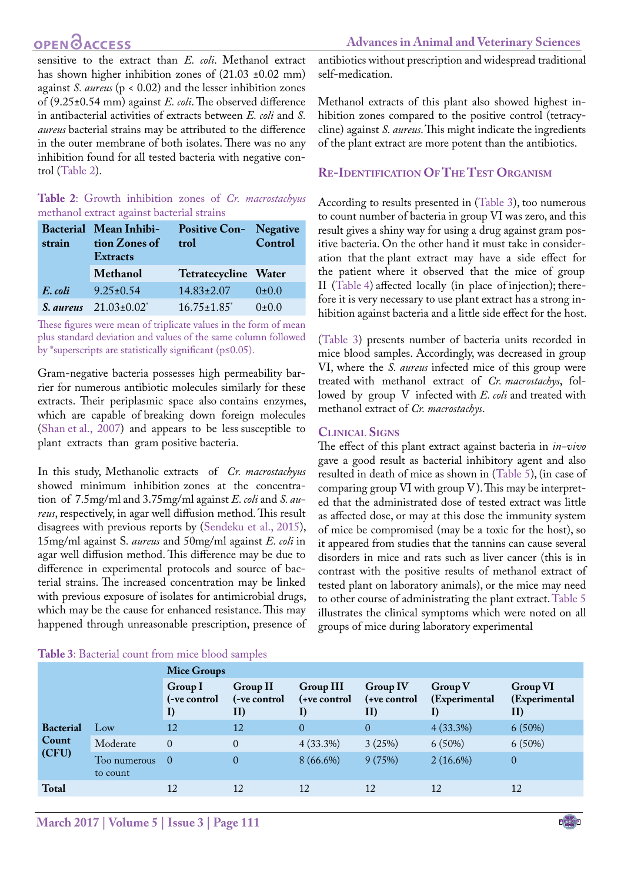# **OPEN**<sub>d</sub>

**Advances in Animal and Veterinary Sciences**

sensitive to the extract than *E. coli*. Methanol extract has shown higher inhibition zones of  $(21.03 \pm 0.02 \text{ mm})$ against *S. aureus* (p < 0.02) and the lesser inhibition zones of (9.25±0.54 mm) against *E. coli*. The observed difference in antibacterial activities of extracts between *E. coli* and *S. aureus* bacterial strains may be attributed to the difference in the outer membrane of both isolates. There was no any inhibition found for all tested bacteria with negative control ([Table 2\)](#page-4-0).

### <span id="page-4-0"></span>**Table 2**: Growth inhibition zones of *Cr. macrostachyus* methanol extract against bacterial strains

| strain  | <b>Bacterial Mean Inhibi-</b><br>tion Zones of<br><b>Extracts</b> | <b>Positive Con- Negative</b><br>trol | Control |  |
|---------|-------------------------------------------------------------------|---------------------------------------|---------|--|
|         | <b>Methanol</b>                                                   | Tetratecycline Water                  |         |  |
| E. coli | $9.25 \pm 0.54$                                                   | $14.83 \pm 2.07$                      | 0.010   |  |
|         | <i>S. aureus</i> $21.03 \pm 0.02^*$                               | $16.75 \pm 1.85$ *                    | 0.010   |  |

These figures were mean of triplicate values in the form of mean plus standard deviation and values of the same column followed by \*superscripts are statistically significant (p≤0.05).

Gram-negative bacteria possesses high permeability barrier for numerous antibiotic molecules similarly for these extracts. Their periplasmic space also contains enzymes, which are capable of breaking down foreign molecules ([Shan et al., 2007\)](#page-7-1) and appears to be less susceptible to plant extracts than gram positive bacteria.

In this study, Methanolic extracts of *Cr. macrostachyus* showed minimum inhibition zones at the concentration of 7.5mg/ml and 3.75mg/ml against *E. coli* and *S. aureus*, respectively, in agar well diffusion method. This result disagrees with previous reports by ([Sendeku et al., 2015\)](#page-7-0), 15mg/ml against S*. aureus* and 50mg/ml against *E. coli* in agar well diffusion method. This difference may be due to difference in experimental protocols and source of bacterial strains. The increased concentration may be linked with previous exposure of isolates for antimicrobial drugs, which may be the cause for enhanced resistance. This may happened through unreasonable prescription, presence of

|--|

antibiotics without prescription and widespread traditional self-medication.

Methanol extracts of this plant also showed highest inhibition zones compared to the positive control (tetracycline) against *S. aureus*. This might indicate the ingredients of the plant extract are more potent than the antibiotics.

## **Re-Identification Of The Test Organism**

According to results presented in (Table 3), too numerous to count number of bacteria in group VI was zero, and this result gives a shiny way for using a drug against gram positive bacteria. On the other hand it must take in consideration that the plant extract may have a side effect for the patient where it observed that the mice of group II (Table 4) affected locally (in place of injection); therefore it is very necessary to use plant extract has a strong inhibition against bacteria and a little side effect for the host.

(Table 3) presents number of bacteria units recorded in mice blood samples. Accordingly, was decreased in group VI, where the *S. aureus* infected mice of this group were treated with methanol extract of *Cr. macrostachys*, followed by group V infected with *E. coli* and treated with methanol extract of *Cr. macrostachys*.

### **Clinical Signs**

The effect of this plant extract against bacteria in *in-vivo* gave a good result as bacterial inhibitory agent and also resulted in death of mice as shown in [\(Table 5](#page-5-0)), (in case of comparing group VI with group V). This may be interpreted that the administrated dose of tested extract was little as affected dose, or may at this dose the immunity system of mice be compromised (may be a toxic for the host), so it appeared from studies that the tannins can cause several disorders in mice and rats such as liver cancer (this is in contrast with the positive results of methanol extract of tested plant on laboratory animals), or the mice may need to other course of administrating the plant extract. [Table 5](#page-5-0) illustrates the clinical symptoms which were noted on all groups of mice during laboratory experimental

|                  |                          | <b>Mice Groups</b>            |                                 |                                        |                                 |                                       |                                  |  |  |  |
|------------------|--------------------------|-------------------------------|---------------------------------|----------------------------------------|---------------------------------|---------------------------------------|----------------------------------|--|--|--|
|                  |                          | Group I<br>(-ve control<br>I) | Group II<br>(-ve control<br>II) | <b>Group III</b><br>(+ve control<br>I) | Group IV<br>(+ve control<br>II) | <b>Group V</b><br>(Experimental<br>I) | Group VI<br>(Experimental<br>II) |  |  |  |
| <b>Bacterial</b> | Low                      | 12                            | 12                              | $\theta$                               | $\theta$                        | $4(33.3\%)$                           | 6(50%)                           |  |  |  |
| Count            | Moderate                 | $\Omega$                      | $\theta$                        | $4(33.3\%)$                            | 3(25%)                          | 6(50%)                                | 6(50%)                           |  |  |  |
| (CFU)            | Too numerous<br>to count | $\Omega$                      | $\theta$                        | $8(66.6\%)$                            | 9(75%)                          | $2(16.6\%)$                           | $\overline{0}$                   |  |  |  |
| <b>Total</b>     |                          | 12                            | 12                              | 12                                     | 12                              | 12                                    | 12                               |  |  |  |
|                  |                          |                               |                                 |                                        |                                 |                                       |                                  |  |  |  |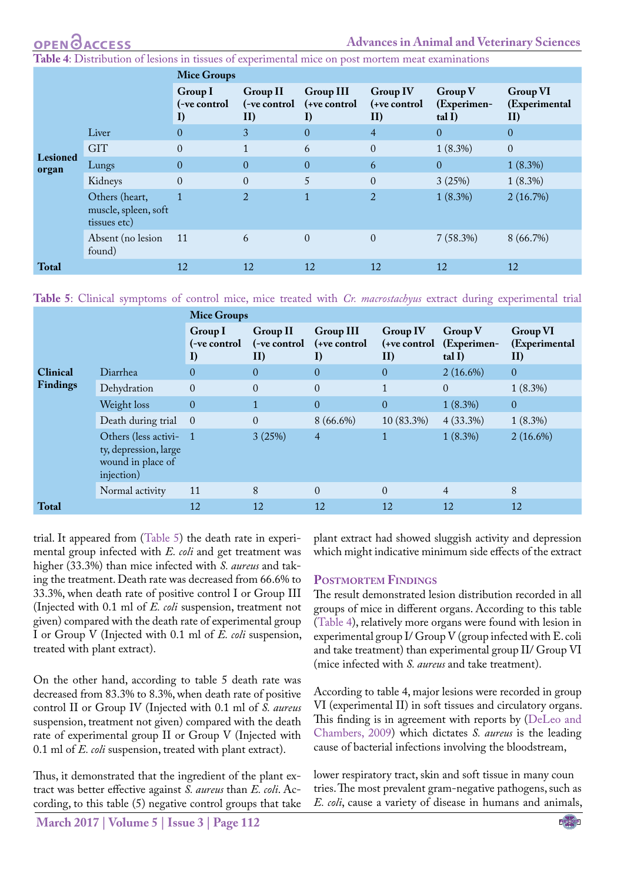**Table 4**: Distribution of lesions in tissues of experimental mice on post mortem meat examinations

|                          |                                                        | <b>Mice Groups</b>            |                                 |                                        |                                        |                                             |                                         |  |  |
|--------------------------|--------------------------------------------------------|-------------------------------|---------------------------------|----------------------------------------|----------------------------------------|---------------------------------------------|-----------------------------------------|--|--|
|                          |                                                        | Group I<br>(-ve control<br>I) | Group II<br>(-ve control<br>II) | <b>Group III</b><br>(+ve control<br>I) | <b>Group IV</b><br>(+ve control<br>II) | Group <sub>V</sub><br>(Experimen-<br>tal I) | <b>Group VI</b><br>(Experimental<br>II) |  |  |
|                          | Liver                                                  | $\Omega$                      | 3                               | $\overline{0}$                         | $\overline{4}$                         | $\overline{0}$                              | $\Omega$                                |  |  |
|                          | <b>GIT</b>                                             | $\Omega$                      |                                 | 6                                      | $\boldsymbol{0}$                       | $1(8.3\%)$                                  | $\Omega$                                |  |  |
| <b>Lesioned</b><br>organ | Lungs                                                  | $\overline{0}$                | $\theta$                        | $\mathbf{0}$                           | 6                                      | $\overline{0}$                              | $1(8.3\%)$                              |  |  |
|                          | Kidneys                                                | $\theta$                      | $\Omega$                        | 5                                      | $\overline{0}$                         | 3(25%)                                      | $1(8.3\%)$                              |  |  |
|                          | Others (heart,<br>muscle, spleen, soft<br>tissues etc) |                               | 2                               | 1                                      | $\overline{a}$                         | $1(8.3\%)$                                  | 2(16.7%)                                |  |  |
|                          | Absent (no lesion<br>found)                            | -11                           | 6                               | $\mathbf{0}$                           | $\boldsymbol{0}$                       | 7(58.3%)                                    | 8(66.7%)                                |  |  |
| <b>Total</b>             |                                                        | 12                            | 12                              | 12                                     | 12                                     | 12                                          | 12                                      |  |  |

<span id="page-5-0"></span>**Table 5**: Clinical symptoms of control mice, mice treated with *Cr. macrostachyus* extract during experimental trial

|                 |                                                                                  | <b>Mice Groups</b>            |                                                  |                                        |                                        |                                    |                                                  |  |  |
|-----------------|----------------------------------------------------------------------------------|-------------------------------|--------------------------------------------------|----------------------------------------|----------------------------------------|------------------------------------|--------------------------------------------------|--|--|
|                 |                                                                                  | Group I<br>(-ve control<br>I) | <b>Group II</b><br>(-ve control<br>$\mathbf{II}$ | <b>Group III</b><br>(+ve control<br>I) | <b>Group IV</b><br>(+ve control<br>II) | Group V<br>(Experimen-<br>$tall$ ) | <b>Group VI</b><br>(Experimental<br>$\mathbf{I}$ |  |  |
| <b>Clinical</b> | Diarrhea                                                                         | $\Omega$                      | $\overline{0}$                                   | $\theta$                               | $\Omega$                               | $2(16.6\%)$                        | $\theta$                                         |  |  |
| <b>Findings</b> | Dehydration                                                                      | $\Omega$                      | $\overline{0}$                                   | $\overline{0}$                         | $\mathbf{1}$                           | $\theta$                           | $1(8.3\%)$                                       |  |  |
|                 | Weight loss                                                                      | $\theta$                      | $\mathbf{1}$                                     | $\overline{0}$                         | $\theta$                               | $1(8.3\%)$                         | $\overline{0}$                                   |  |  |
|                 | Death during trial                                                               | $\Omega$                      | $\overline{0}$                                   | $8(66.6\%)$                            | 10 (83.3%)                             | $4(33.3\%)$                        | $1(8.3\%)$                                       |  |  |
|                 | Others (less activi-<br>ty, depression, large<br>wound in place of<br>injection) |                               | 3(25%)                                           | $\overline{4}$                         | 1                                      | $1(8.3\%)$                         | $2(16.6\%)$                                      |  |  |
|                 | Normal activity                                                                  | 11                            | 8                                                | $\Omega$                               | $\Omega$                               | $\overline{4}$                     | 8                                                |  |  |
| <b>Total</b>    |                                                                                  | 12                            | 12                                               | 12                                     | 12                                     | 12                                 | 12                                               |  |  |

trial. It appeared from ([Table 5](#page-5-0)) the death rate in experimental group infected with *E. coli* and get treatment was higher (33.3%) than mice infected with *S. aureus* and taking the treatment. Death rate was decreased from 66.6% to 33.3%, when death rate of positive control I or Group III (Injected with 0.1 ml of *E. coli* suspension, treatment not given) compared with the death rate of experimental group I or Group V (Injected with 0.1 ml of *E. coli* suspension, treated with plant extract).

On the other hand, according to table 5 death rate was decreased from 83.3% to 8.3%, when death rate of positive control II or Group IV (Injected with 0.1 ml of *S. aureus*  suspension, treatment not given) compared with the death rate of experimental group II or Group V (Injected with 0.1 ml of *E. coli* suspension, treated with plant extract).

Thus, it demonstrated that the ingredient of the plant extract was better effective against *S. aureus* than *E. coli*. According, to this table (5) negative control groups that take

**March 2017 | Volume 5 | Issue 3 | Page 112**

plant extract had showed sluggish activity and depression which might indicative minimum side effects of the extract

#### **Postmortem Findings**

The result demonstrated lesion distribution recorded in all groups of mice in different organs. According to this table (Table 4), relatively more organs were found with lesion in experimental group I/ Group V (group infected with E. coli and take treatment) than experimental group II/ Group VI (mice infected with *S. aureus* and take treatment).

According to table 4, major lesions were recorded in group VI (experimental II) in soft tissues and circulatory organs. This finding is in agreement with reports by ([DeLeo and](#page-6-16) [Chambers, 2009](#page-6-16)) which dictates *S. aureus* is the leading cause of bacterial infections involving the bloodstream,

lower respiratory tract, skin and soft tissue in many coun tries. The most prevalent gram-negative pathogens, such as *E. coli*, cause a variety of disease in humans and animals,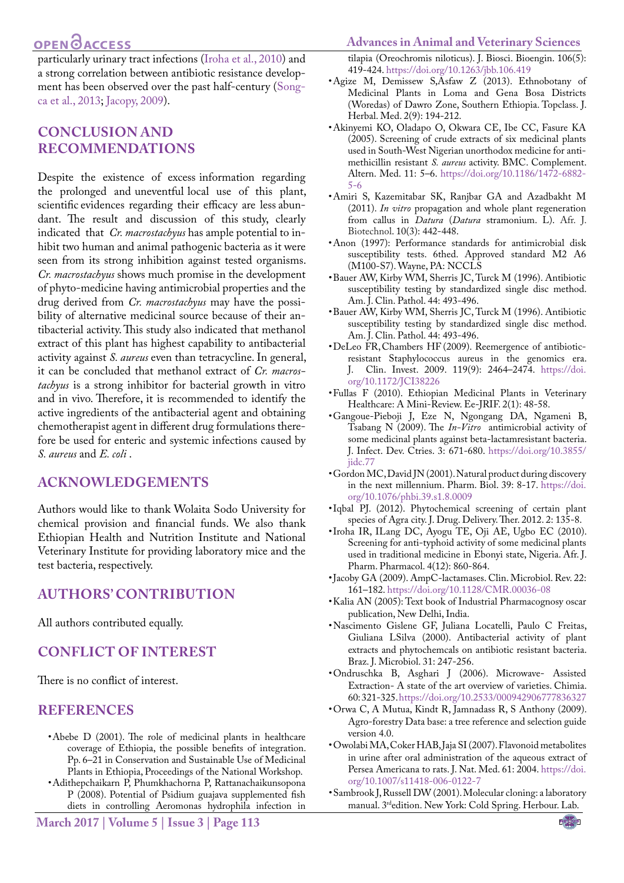# **OPEN**OACCESS

particularly urinary tract infections [\(Iroha et al., 2010](#page-6-17)) and a strong correlation between antibiotic resistance development has been observed over the past half-century [\(Song](#page-7-2)[ca et al., 2013](#page-7-2); [Jacopy, 2009\)](#page-6-18).

## **Conclusion and recommendations**

Despite the existence of excess information regarding the prolonged and uneventful local use of this plant, scientific evidences regarding their efficacy are less abundant. The result and discussion of this study, clearly indicated that *Cr. macrostachyus* has ample potential to inhibit two human and animal pathogenic bacteria as it were seen from its strong inhibition against tested organisms. *Cr. macrostachyus* shows much promise in the development of phyto-medicine having antimicrobial properties and the drug derived from *Cr. macrostachyus* may have the possibility of alternative medicinal source because of their antibacterial activity. This study also indicated that methanol extract of this plant has highest capability to antibacterial activity against *S. aureus* even than tetracycline. In general, it can be concluded that methanol extract of *Cr. macrostachyus* is a strong inhibitor for bacterial growth in vitro and in vivo. Therefore, it is recommended to identify the active ingredients of the antibacterial agent and obtaining chemotherapist agent in different drug formulations therefore be used for enteric and systemic infections caused by *S. aureus* and *E. coli* .

### **ACKNOWLEDGEMENTS**

Authors would like to thank Wolaita Sodo University for chemical provision and financial funds. We also thank Ethiopian Health and Nutrition Institute and National Veterinary Institute for providing laboratory mice and the test bacteria, respectively.

### **Authors' contribution**

All authors contributed equally.

## **Conflict of interest**

There is no conflict of interest.

### **REFERENCES**

- <span id="page-6-7"></span>• Abebe D (2001). The role of medicinal plants in healthcare coverage of Ethiopia, the possible benefits of integration. Pp. 6–21 in Conservation and Sustainable Use of Medicinal Plants in Ethiopia, Proceedings of the National Workshop.
- • Adithepchaikarn P, Phumkhachorna P, Rattanachaikunsopona P (2008). Potential of Psidium guajava supplemented fish diets in controlling Aeromonas hydrophila infection in

### **Advances in Animal and Veterinary Sciences**

tilapia (Oreochromis niloticus). J. Biosci. Bioengin. 106(5): 419-424.<https://doi.org/10.1263/jbb.106.419>

- <span id="page-6-5"></span>• Agize M, Demissew S,Asfaw Z (2013). Ethnobotany of Medicinal Plants in Loma and Gena Bosa Districts (Woredas) of Dawro Zone, Southern Ethiopia. Topclass. J. Herbal. Med. 2(9): 194-212.
- <span id="page-6-10"></span>• Akinyemi KO, Oladapo O, Okwara CE, Ibe CC, Fasure KA (2005). Screening of crude extracts of six medicinal plants used in South-West Nigerian unorthodox medicine for antimethicillin resistant *S. aureus* activity. BMC. Complement. Altern. Med. 11: 5–6. [https://doi.org/10.1186/1472-6882-](https://doi.org/10.1186/1472-6882-5-6) [5-6](https://doi.org/10.1186/1472-6882-5-6)
- • Amiri S, Kazemitabar SK, Ranjbar GA and Azadbakht M (2011). *In vitro* propagation and whole plant regeneration from callus in *Datura* (*Datura* stramonium. L). Afr. J. Biotechnol. 10(3): 442-448.
- <span id="page-6-11"></span>• Anon (1997): Performance standards for antimicrobial disk susceptibility tests. 6thed. Approved standard M2 A6 (M100-S7). Wayne, PA: NCCLS
- <span id="page-6-9"></span>• Bauer AW, Kirby WM, Sherris JC, Turck M (1996). Antibiotic susceptibility testing by standardized single disc method. Am. J. Clin. Pathol. 44: 493-496.
- <span id="page-6-14"></span>• Bauer AW, Kirby WM, Sherris JC, Turck M (1996). Antibiotic susceptibility testing by standardized single disc method. Am. J. Clin. Pathol. 44: 493-496.
- <span id="page-6-16"></span>• DeLeo FR, Chambers HF (2009). Reemergence of antibioticresistant Staphylococcus aureus in the genomics era. J. Clin. Invest. 2009. 119(9): 2464–2474. [https://doi.](https://doi.org/10.1172/JCI38226) [org/10.1172/JCI38226](https://doi.org/10.1172/JCI38226)
- <span id="page-6-6"></span>• Fullas F (2010). Ethiopian Medicinal Plants in Veterinary Healthcare: A Mini-Review. Ee-JRIF. 2(1): 48-58.
- <span id="page-6-12"></span>• Gangoue-Pieboji J, Eze N, Ngongang DA, Ngameni B, Tsabang N (2009). The *In-Vitro* antimicrobial activity of some medicinal plants against beta-lactamresistant bacteria. J. Infect. Dev. Ctries. 3: 671-680. [https://doi.org/10.3855/](https://doi.org/10.3855/jidc.77) [jidc.77](https://doi.org/10.3855/jidc.77)
- <span id="page-6-2"></span>• Gordon MC, David JN (2001). Natural product during discovery in the next millennium. Pharm. Biol. 39: 8-17. [https://doi.](https://doi.org/10.1076/phbi.39.s1.8.0009) [org/10.1076/phbi.39.s1.8.0009](https://doi.org/10.1076/phbi.39.s1.8.0009)
- <span id="page-6-8"></span>• Iqbal PJ. (2012). Phytochemical screening of certain plant species of Agra city. J. Drug. Delivery. Ther. 2012. 2: 135-8.
- <span id="page-6-17"></span>• Iroha IR, ILang DC, Ayogu TE, Oji AE, Ugbo EC (2010). Screening for anti-typhoid activity of some medicinal plants used in traditional medicine in Ebonyi state, Nigeria. Afr. J. Pharm. Pharmacol. 4(12): 860-864.
- <span id="page-6-18"></span>• Jacoby GA (2009). AmpC-lactamases. Clin. Microbiol. Rev. 22: 161–182[. https://doi.org/10.1128/CMR.00036-08]( https://doi.org/10.1128/CMR.00036-08)
- <span id="page-6-3"></span>• Kalia AN (2005): Text book of Industrial Pharmacognosy oscar publication, New Delhi, India.
- <span id="page-6-1"></span>• Nascimento Gislene GF, Juliana Locatelli, Paulo C Freitas, Giuliana LSilva (2000). Antibacterial activity of plant extracts and phytochemcals on antibiotic resistant bacteria. Braz. J. Microbiol. 31: 247-256.
- <span id="page-6-15"></span>• Ondruschka B, Asghari J (2006). Microwave- Assisted Extraction- A state of the art overview of varieties. Chimia. 60: 321-325. [https://doi.org/10.2533/000942906777836327](https://doi.org/10.2533/000942906777836327 )
- <span id="page-6-4"></span>• Orwa C, A Mutua, Kindt R, Jamnadass R, S Anthony (2009). Agro-forestry Data base: a tree reference and selection guide version 4.0.
- <span id="page-6-0"></span>• Owolabi MA, Coker HAB, Jaja SI (2007). Flavonoid metabolites in urine after oral administration of the aqueous extract of Persea Americana to rats. J. Nat. Med. 61: 2004. [https://doi.](https://doi.org/10.1007/s11418-006-0122-7) [org/10.1007/s11418-006-0122-7](https://doi.org/10.1007/s11418-006-0122-7)
- <span id="page-6-13"></span>• Sambrook J, Russell DW (2001). Molecular cloning: a laboratory manual. 3rdedition. New York: Cold Spring. Herbour. Lab.